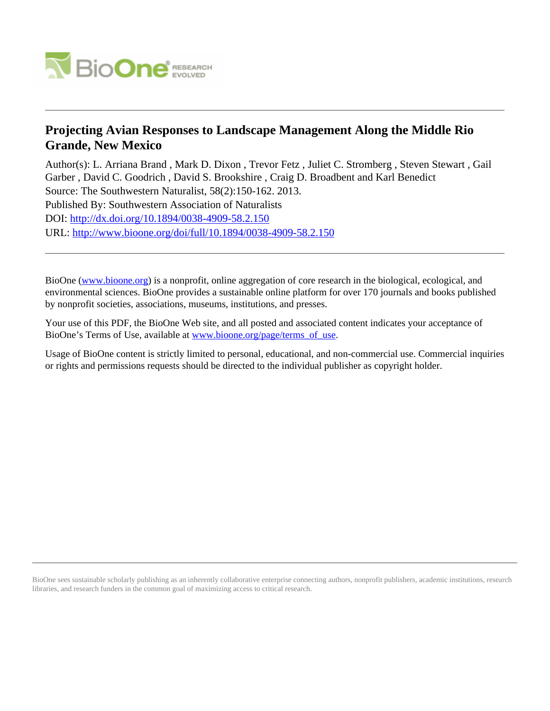

## **Projecting Avian Responses to Landscape Management Along the Middle Rio Grande, New Mexico**

Author(s): L. Arriana Brand , Mark D. Dixon , Trevor Fetz , Juliet C. Stromberg , Steven Stewart , Gail Garber , David C. Goodrich , David S. Brookshire , Craig D. Broadbent and Karl Benedict Source: The Southwestern Naturalist, 58(2):150-162. 2013. Published By: Southwestern Association of Naturalists DOI:<http://dx.doi.org/10.1894/0038-4909-58.2.150> URL: <http://www.bioone.org/doi/full/10.1894/0038-4909-58.2.150>

BioOne [\(www.bioone.org\)](http://www.bioone.org) is a nonprofit, online aggregation of core research in the biological, ecological, and environmental sciences. BioOne provides a sustainable online platform for over 170 journals and books published by nonprofit societies, associations, museums, institutions, and presses.

Your use of this PDF, the BioOne Web site, and all posted and associated content indicates your acceptance of BioOne's Terms of Use, available at [www.bioone.org/page/terms\\_of\\_use.](http://www.bioone.org/page/terms_of_use)

Usage of BioOne content is strictly limited to personal, educational, and non-commercial use. Commercial inquiries or rights and permissions requests should be directed to the individual publisher as copyright holder.

BioOne sees sustainable scholarly publishing as an inherently collaborative enterprise connecting authors, nonprofit publishers, academic institutions, research libraries, and research funders in the common goal of maximizing access to critical research.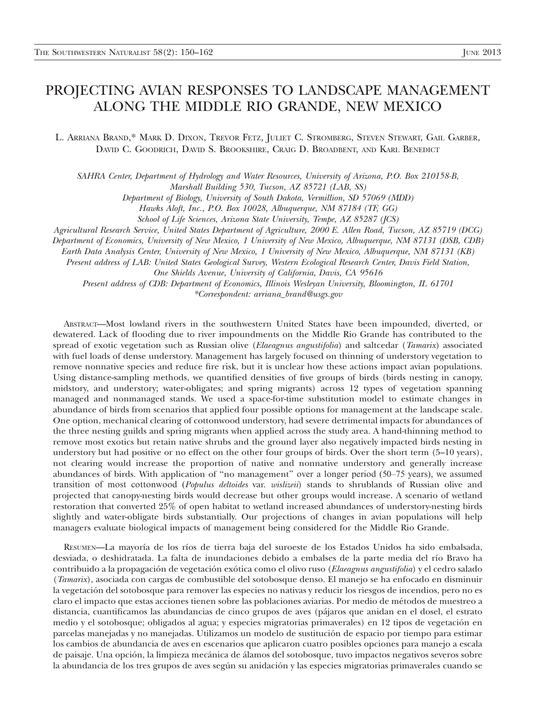## PROJECTING AVIAN RESPONSES TO LANDSCAPE MANAGEMENT ALONG THE MIDDLE RIO GRANDE, NEW MEXICO

L. ARRIANA BRAND,\* MARK D. DIXON, TREVOR FETZ, JULIET C. STROMBERG, STEVEN STEWART, GAIL GARBER, DAVID C. GOODRICH, DAVID S. BROOKSHIRE, CRAIG D. BROADBENT, AND KARL BENEDICT

SAHRA Center, Department of Hydrology and Water Resources, University of Arizona, P.O. Box 210158-B,

Marshall Building 530, Tucson, AZ 85721 (LAB, SS)

Department of Biology, University of South Dakota, Vermillion, SD 57069 (MDD)

Hawks Aloft, Inc., P.O. Box 10028, Albuquerque, NM 87184 (TF, GG)

School of Life Sciences, Arizona State University, Tempe, AZ 85287 (JCS)

Agricultural Research Service, United States Department of Agriculture, 2000 E. Allen Road, Tucson, AZ 85719 (DCG)

Department of Economics, University of New Mexico, 1 University of New Mexico, Albuquerque, NM 87131 (DSB, CDB)

Earth Data Analysis Center, University of New Mexico, 1 University of New Mexico, Albuquerque, NM 87131 (KB)

Present address of LAB: United States Geological Survey, Western Ecological Research Center, Davis Field Station,

One Shields Avenue, University of California, Davis, CA 95616

Present address of CDB: Department of Economics, Illinois Wesleyan University, Bloomington, IL 61701 \*Correspondent: arriana\_brand@usgs.gov

ABSTRACT—Most lowland rivers in the southwestern United States have been impounded, diverted, or dewatered. Lack of flooding due to river impoundments on the Middle Rio Grande has contributed to the spread of exotic vegetation such as Russian olive (Elaeagnus angustifolia) and saltcedar (Tamarix) associated with fuel loads of dense understory. Management has largely focused on thinning of understory vegetation to remove nonnative species and reduce fire risk, but it is unclear how these actions impact avian populations. Using distance-sampling methods, we quantified densities of five groups of birds (birds nesting in canopy, midstory, and understory; water-obligates; and spring migrants) across 12 types of vegetation spanning managed and nonmanaged stands. We used a space-for-time substitution model to estimate changes in abundance of birds from scenarios that applied four possible options for management at the landscape scale. One option, mechanical clearing of cottonwood understory, had severe detrimental impacts for abundances of the three nesting guilds and spring migrants when applied across the study area. A hand-thinning method to remove most exotics but retain native shrubs and the ground layer also negatively impacted birds nesting in understory but had positive or no effect on the other four groups of birds. Over the short term (5–10 years), not clearing would increase the proportion of native and nonnative understory and generally increase abundances of birds. With application of ''no management'' over a longer period (50–75 years), we assumed transition of most cottonwood (*Populus deltoides var. wislizeii*) stands to shrublands of Russian olive and projected that canopy-nesting birds would decrease but other groups would increase. A scenario of wetland restoration that converted 25% of open habitat to wetland increased abundances of understory-nesting birds slightly and water-obligate birds substantially. Our projections of changes in avian populations will help managers evaluate biological impacts of management being considered for the Middle Rio Grande.

RESUMEN—La mayoría de los ríos de tierra baja del suroeste de los Estados Unidos ha sido embalsada, desviada, o deshidratada. La falta de inundaciones debido a embalses de la parte media del río Bravo ha contribuido a la propagación de vegetación exótica como el olivo ruso (Elaeagnus angustifolia) y el cedro salado (Tamarix), asociada con cargas de combustible del sotobosque denso. El manejo se ha enfocado en disminuir la vegetación del sotobosque para remover las especies no nativas y reducir los riesgos de incendios, pero no es claro el impacto que estas acciones tienen sobre las poblaciones aviarias. Por medio de m´etodos de muestreo a distancia, cuantificamos las abundancias de cinco grupos de aves (pájaros que anidan en el dosel, el estrato medio y el sotobosque; obligados al agua; y especies migratorias primaverales) en 12 tipos de vegetación en parcelas manejadas y no manejadas. Utilizamos un modelo de sustitución de espacio por tiempo para estimar los cambios de abundancia de aves en escenarios que aplicaron cuatro posibles opciones para manejo a escala de paisaje. Una opción, la limpieza mecánica de álamos del sotobosque, tuvo impactos negativos severos sobre la abundancia de los tres grupos de aves según su anidación y las especies migratorias primaverales cuando se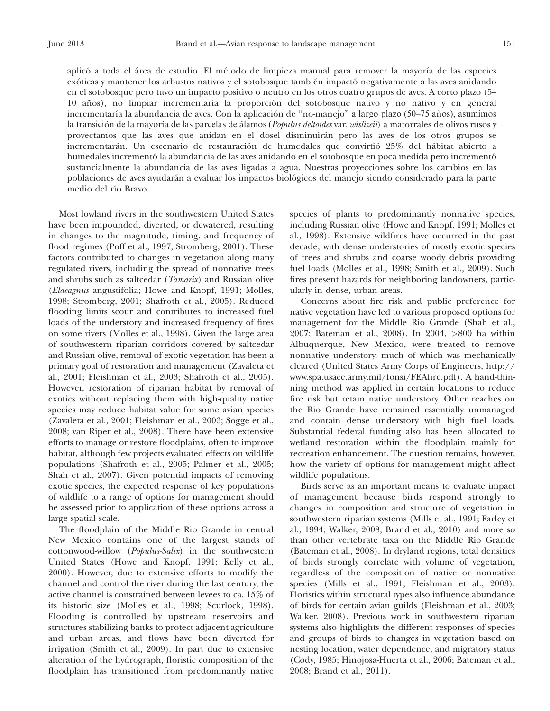aplicó a toda el área de estudio. El método de limpieza manual para remover la mayoría de las especies exóticas y mantener los arbustos nativos y el sotobosque también impactó negativamente a las aves anidando en el sotobosque pero tuvo un impacto positivo o neutro en los otros cuatro grupos de aves. A corto plazo (5– 10 años), no limpiar incrementaría la proporción del sotobosque nativo y no nativo y en general incrementaría la abundancia de aves. Con la aplicación de "no-manejo" a largo plazo (50–75 años), asumimos la transición de la mayoría de las parcelas de álamos (Populus deltoides var. wislizeii) a matorrales de olivos rusos y proyectamos que las aves que anidan en el dosel disminuirán pero las aves de los otros grupos se incrementarán. Un escenario de restauración de humedales que convirtió 25% del hábitat abierto a humedales incrementó la abundancia de las aves anidando en el sotobosque en poca medida pero incrementó sustancialmente la abundancia de las aves ligadas a agua. Nuestras proyecciones sobre los cambios en las poblaciones de aves ayudarán a evaluar los impactos biológicos del manejo siendo considerado para la parte medio del río Bravo.

Most lowland rivers in the southwestern United States have been impounded, diverted, or dewatered, resulting in changes to the magnitude, timing, and frequency of flood regimes (Poff et al., 1997; Stromberg, 2001). These factors contributed to changes in vegetation along many regulated rivers, including the spread of nonnative trees and shrubs such as saltcedar (Tamarix) and Russian olive (Elaeagnus angustifolia; Howe and Knopf, 1991; Molles, 1998; Stromberg, 2001; Shafroth et al., 2005). Reduced flooding limits scour and contributes to increased fuel loads of the understory and increased frequency of fires on some rivers (Molles et al., 1998). Given the large area of southwestern riparian corridors covered by saltcedar and Russian olive, removal of exotic vegetation has been a primary goal of restoration and management (Zavaleta et al., 2001; Fleishman et al., 2003; Shafroth et al., 2005). However, restoration of riparian habitat by removal of exotics without replacing them with high-quality native species may reduce habitat value for some avian species (Zavaleta et al., 2001; Fleishman et al., 2003; Sogge et al., 2008; van Riper et al., 2008). There have been extensive efforts to manage or restore floodplains, often to improve habitat, although few projects evaluated effects on wildlife populations (Shafroth et al., 2005; Palmer et al., 2005; Shah et al., 2007). Given potential impacts of removing exotic species, the expected response of key populations of wildlife to a range of options for management should be assessed prior to application of these options across a large spatial scale.

The floodplain of the Middle Rio Grande in central New Mexico contains one of the largest stands of cottonwood-willow (Populus-Salix) in the southwestern United States (Howe and Knopf, 1991; Kelly et al., 2000). However, due to extensive efforts to modify the channel and control the river during the last century, the active channel is constrained between levees to ca. 15% of its historic size (Molles et al., 1998; Scurlock, 1998). Flooding is controlled by upstream reservoirs and structures stabilizing banks to protect adjacent agriculture and urban areas, and flows have been diverted for irrigation (Smith et al., 2009). In part due to extensive alteration of the hydrograph, floristic composition of the floodplain has transitioned from predominantly native species of plants to predominantly nonnative species, including Russian olive (Howe and Knopf, 1991; Molles et al., 1998). Extensive wildfires have occurred in the past decade, with dense understories of mostly exotic species of trees and shrubs and coarse woody debris providing fuel loads (Molles et al., 1998; Smith et al., 2009). Such fires present hazards for neighboring landowners, particularly in dense, urban areas.

Concerns about fire risk and public preference for native vegetation have led to various proposed options for management for the Middle Rio Grande (Shah et al., 2007; Bateman et al., 2008). In 2004, >800 ha within Albuquerque, New Mexico, were treated to remove nonnative understory, much of which was mechanically cleared (United States Army Corps of Engineers, http:// www.spa.usace.army.mil/fonsi/FEAfire.pdf). A hand-thinning method was applied in certain locations to reduce fire risk but retain native understory. Other reaches on the Rio Grande have remained essentially unmanaged and contain dense understory with high fuel loads. Substantial federal funding also has been allocated to wetland restoration within the floodplain mainly for recreation enhancement. The question remains, however, how the variety of options for management might affect wildlife populations.

Birds serve as an important means to evaluate impact of management because birds respond strongly to changes in composition and structure of vegetation in southwestern riparian systems (Mills et al., 1991; Farley et al., 1994; Walker, 2008; Brand et al., 2010) and more so than other vertebrate taxa on the Middle Rio Grande (Bateman et al., 2008). In dryland regions, total densities of birds strongly correlate with volume of vegetation, regardless of the composition of native or nonnative species (Mills et al., 1991; Fleishman et al., 2003). Floristics within structural types also influence abundance of birds for certain avian guilds (Fleishman et al., 2003; Walker, 2008). Previous work in southwestern riparian systems also highlights the different responses of species and groups of birds to changes in vegetation based on nesting location, water dependence, and migratory status (Cody, 1985; Hinojosa-Huerta et al., 2006; Bateman et al., 2008; Brand et al., 2011).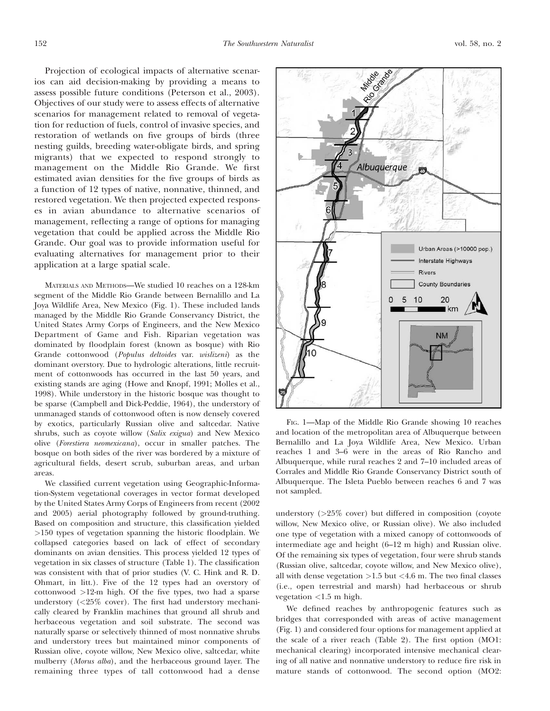Projection of ecological impacts of alternative scenarios can aid decision-making by providing a means to assess possible future conditions (Peterson et al., 2003). Objectives of our study were to assess effects of alternative scenarios for management related to removal of vegetation for reduction of fuels, control of invasive species, and restoration of wetlands on five groups of birds (three nesting guilds, breeding water-obligate birds, and spring migrants) that we expected to respond strongly to management on the Middle Rio Grande. We first estimated avian densities for the five groups of birds as a function of 12 types of native, nonnative, thinned, and restored vegetation. We then projected expected responses in avian abundance to alternative scenarios of management, reflecting a range of options for managing vegetation that could be applied across the Middle Rio Grande. Our goal was to provide information useful for evaluating alternatives for management prior to their application at a large spatial scale.

MATERIALS AND METHODS—We studied 10 reaches on a 128-km segment of the Middle Rio Grande between Bernalillo and La Joya Wildlife Area, New Mexico (Fig. 1). These included lands managed by the Middle Rio Grande Conservancy District, the United States Army Corps of Engineers, and the New Mexico Department of Game and Fish. Riparian vegetation was dominated by floodplain forest (known as bosque) with Rio Grande cottonwood (Populus deltoides var. wislizeni) as the dominant overstory. Due to hydrologic alterations, little recruitment of cottonwoods has occurred in the last 50 years, and existing stands are aging (Howe and Knopf, 1991; Molles et al., 1998). While understory in the historic bosque was thought to be sparse (Campbell and Dick-Peddie, 1964), the understory of unmanaged stands of cottonwood often is now densely covered by exotics, particularly Russian olive and saltcedar. Native shrubs, such as coyote willow (Salix exigua) and New Mexico olive (Forestiera neomexicana), occur in smaller patches. The bosque on both sides of the river was bordered by a mixture of agricultural fields, desert scrub, suburban areas, and urban areas.

We classified current vegetation using Geographic-Information-System vegetational coverages in vector format developed by the United States Army Corps of Engineers from recent (2002 and 2005) aerial photography followed by ground-truthing. Based on composition and structure, this classification yielded >150 types of vegetation spanning the historic floodplain. We collapsed categories based on lack of effect of secondary dominants on avian densities. This process yielded 12 types of vegetation in six classes of structure (Table 1). The classification was consistent with that of prior studies (V. C. Hink and R. D. Ohmart, in litt.). Five of the 12 types had an overstory of cottonwood >12-m high. Of the five types, two had a sparse understory (<25% cover). The first had understory mechanically cleared by Franklin machines that ground all shrub and herbaceous vegetation and soil substrate. The second was naturally sparse or selectively thinned of most nonnative shrubs and understory trees but maintained minor components of Russian olive, coyote willow, New Mexico olive, saltcedar, white mulberry (Morus alba), and the herbaceous ground layer. The remaining three types of tall cottonwood had a dense



FIG. 1—Map of the Middle Rio Grande showing 10 reaches and location of the metropolitan area of Albuquerque between Bernalillo and La Joya Wildlife Area, New Mexico. Urban reaches 1 and 3–6 were in the areas of Rio Rancho and Albuquerque, while rural reaches 2 and 7–10 included areas of Corrales and Middle Rio Grande Conservancy District south of Albuquerque. The Isleta Pueblo between reaches 6 and 7 was not sampled.

understory (>25% cover) but differed in composition (coyote willow, New Mexico olive, or Russian olive). We also included one type of vegetation with a mixed canopy of cottonwoods of intermediate age and height (6–12 m high) and Russian olive. Of the remaining six types of vegetation, four were shrub stands (Russian olive, saltcedar, coyote willow, and New Mexico olive), all with dense vegetation  $>1.5$  but  $< 4.6$  m. The two final classes (i.e., open terrestrial and marsh) had herbaceous or shrub vegetation <1.5 m high.

We defined reaches by anthropogenic features such as bridges that corresponded with areas of active management (Fig. 1) and considered four options for management applied at the scale of a river reach (Table 2). The first option (MO1: mechanical clearing) incorporated intensive mechanical clearing of all native and nonnative understory to reduce fire risk in mature stands of cottonwood. The second option (MO2: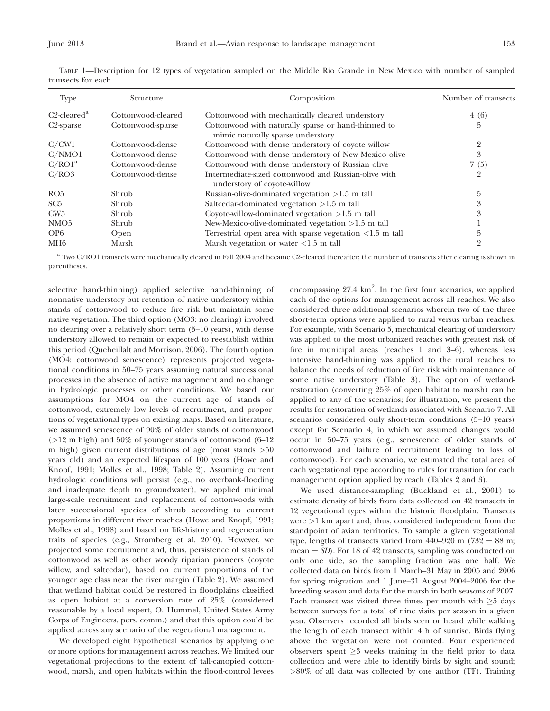| <b>Type</b>                | Structure          | Composition                                                                              | Number of transects |  |
|----------------------------|--------------------|------------------------------------------------------------------------------------------|---------------------|--|
| $C2$ -cleared <sup>a</sup> | Cottonwood-cleared | Cottonwood with mechanically cleared understory                                          | 4(6)                |  |
| C <sub>2</sub> -sparse     | Cottonwood-sparse  | Cottonwood with naturally sparse or hand-thinned to<br>mimic naturally sparse understory | 5                   |  |
| C/CW1                      | Cottonwood-dense   | Cottonwood with dense understory of coyote willow                                        | $\overline{2}$      |  |
| C/NMO1                     | Cottonwood-dense   | Cottonwood with dense understory of New Mexico olive                                     | 3                   |  |
| C/RO1 <sup>a</sup>         | Cottonwood-dense   | Cottonwood with dense understory of Russian olive                                        | 7(5)                |  |
| C/RO3                      | Cottonwood-dense   | Intermediate-sized cottonwood and Russian-olive with<br>understory of coyote-willow      | 2                   |  |
| RO5                        | Shrub              | Russian-olive-dominated vegetation $>1.5$ m tall                                         | 5                   |  |
| SC <sub>5</sub>            | Shrub              | Saltcedar-dominated vegetation $>1.5$ m tall                                             | 3                   |  |
| CW <sub>5</sub>            | Shrub              | Coyote-willow-dominated vegetation $>1.5$ m tall                                         | 3                   |  |
| NMO <sub>5</sub>           | Shrub              | New-Mexico-olive-dominated vegetation >1.5 m tall                                        |                     |  |
| OP <sub>6</sub>            | Open               | Terrestrial open area with sparse vegetation $<$ 1.5 m tall                              | b.                  |  |
| MH <sub>6</sub>            | Marsh              | Marsh vegetation or water $<$ 1.5 m tall                                                 | 2                   |  |

TABLE 1—Description for 12 types of vegetation sampled on the Middle Rio Grande in New Mexico with number of sampled transects for each.

<sup>a</sup> Two C/RO1 transects were mechanically cleared in Fall 2004 and became C2-cleared thereafter; the number of transects after clearing is shown in parentheses.

selective hand-thinning) applied selective hand-thinning of nonnative understory but retention of native understory within stands of cottonwood to reduce fire risk but maintain some native vegetation. The third option (MO3: no clearing) involved no clearing over a relatively short term (5–10 years), with dense understory allowed to remain or expected to reestablish within this period (Queheillalt and Morrison, 2006). The fourth option (MO4: cottonwood senescence) represents projected vegetational conditions in 50–75 years assuming natural successional processes in the absence of active management and no change in hydrologic processes or other conditions. We based our assumptions for MO4 on the current age of stands of cottonwood, extremely low levels of recruitment, and proportions of vegetational types on existing maps. Based on literature, we assumed senescence of 90% of older stands of cottonwood (>12 m high) and 50% of younger stands of cottonwood (6–12 m high) given current distributions of age (most stands >50 years old) and an expected lifespan of 100 years (Howe and Knopf, 1991; Molles et al., 1998; Table 2). Assuming current hydrologic conditions will persist (e.g., no overbank-flooding and inadequate depth to groundwater), we applied minimal large-scale recruitment and replacement of cottonwoods with later successional species of shrub according to current proportions in different river reaches (Howe and Knopf, 1991; Molles et al., 1998) and based on life-history and regeneration traits of species (e.g., Stromberg et al. 2010). However, we projected some recruitment and, thus, persistence of stands of cottonwood as well as other woody riparian pioneers (coyote willow, and saltcedar), based on current proportions of the younger age class near the river margin (Table 2). We assumed that wetland habitat could be restored in floodplains classified as open habitat at a conversion rate of 25% (considered reasonable by a local expert, O. Hummel, United States Army Corps of Engineers, pers. comm.) and that this option could be applied across any scenario of the vegetational management.

We developed eight hypothetical scenarios by applying one or more options for management across reaches. We limited our vegetational projections to the extent of tall-canopied cottonwood, marsh, and open habitats within the flood-control levees

encompassing 27.4 km<sup>2</sup>. In the first four scenarios, we applied each of the options for management across all reaches. We also considered three additional scenarios wherein two of the three short-term options were applied to rural versus urban reaches. For example, with Scenario 5, mechanical clearing of understory was applied to the most urbanized reaches with greatest risk of fire in municipal areas (reaches 1 and 3–6), whereas less intensive hand-thinning was applied to the rural reaches to balance the needs of reduction of fire risk with maintenance of some native understory (Table 3). The option of wetlandrestoration (converting 25% of open habitat to marsh) can be applied to any of the scenarios; for illustration, we present the results for restoration of wetlands associated with Scenario 7. All scenarios considered only short-term conditions (5–10 years) except for Scenario 4, in which we assumed changes would occur in 50–75 years (e.g., senescence of older stands of cottonwood and failure of recruitment leading to loss of cottonwood). For each scenario, we estimated the total area of each vegetational type according to rules for transition for each management option applied by reach (Tables 2 and 3).

We used distance-sampling (Buckland et al., 2001) to estimate density of birds from data collected on 42 transects in 12 vegetational types within the historic floodplain. Transects were  $>1$  km apart and, thus, considered independent from the standpoint of avian territories. To sample a given vegetational type, lengths of transects varied from 440–920 m (732  $\pm$  88 m; mean  $\pm$  SD). For 18 of 42 transects, sampling was conducted on only one side, so the sampling fraction was one half. We collected data on birds from 1 March–31 May in 2005 and 2006 for spring migration and 1 June–31 August 2004–2006 for the breeding season and data for the marsh in both seasons of 2007. Each transect was visited three times per month with  $\geq$ 5 days between surveys for a total of nine visits per season in a given year. Observers recorded all birds seen or heard while walking the length of each transect within 4 h of sunrise. Birds flying above the vegetation were not counted. Four experienced observers spent  $\geq$ 3 weeks training in the field prior to data collection and were able to identify birds by sight and sound; >80% of all data was collected by one author (TF). Training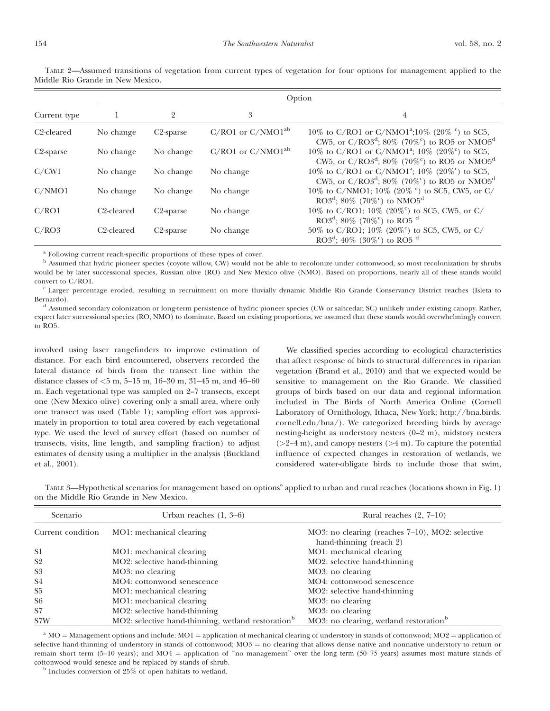|                         | Option                  |                        |                          |                                                                                                                                                              |  |  |
|-------------------------|-------------------------|------------------------|--------------------------|--------------------------------------------------------------------------------------------------------------------------------------------------------------|--|--|
| Current type            |                         | $\overline{2}$         | 3                        | 4                                                                                                                                                            |  |  |
| C <sub>2</sub> -cleared | No change               | $C2$ -sparse           | $C/RO1$ or $C/NMO1^{ab}$ | 10\% to C/RO1 or C/NMO1 <sup>2</sup> ;10\% (20\% <sup>c</sup> ) to SC5,<br>CW5, or C/RO3 <sup>d</sup> ; 80% (70% <sup>c</sup> ) to RO5 or NMO5 <sup>d</sup>  |  |  |
| C <sub>2</sub> -sparse  | No change               | No change              | $C/RO1$ or $C/NMO1^{ab}$ | 10\% to C/RO1 or C/NMO1 <sup>a</sup> ; 10\% (20\% <sup>c</sup> ) to SC5,<br>CW5, or C/RO3 <sup>d</sup> ; 80% (70% <sup>c</sup> ) to RO5 or NMO5 <sup>d</sup> |  |  |
| C/CW1                   | No change               | No change              | No change                | 10% to C/RO1 or C/NMO1 <sup>a</sup> ; 10% (20% <sup>c</sup> ) to SC5,<br>CW5, or C/RO3 <sup>d</sup> ; 80% (70% <sup>c</sup> ) to RO5 or NMO5 <sup>d</sup>    |  |  |
| C/NMO1                  | No change               | No change              | No change                | 10\% to C/NMO1; 10\% (20\% ^ c) to SC5, CW5, or C/<br>$RO3^d$ ; 80% (70% <sup>c</sup> ) to NMO5 <sup>d</sup>                                                 |  |  |
| C/RO1                   | C <sub>2</sub> -cleared | C <sub>2</sub> -sparse | No change                | 10\% to C/RO1; 10\% (20\%) to SC5, CW5, or C/<br>RO3 <sup>d</sup> ; 80% (70% <sup>c</sup> ) to RO5 <sup>d</sup>                                              |  |  |
| C/RO3                   | C <sub>2</sub> -cleared | C <sub>2</sub> -sparse | No change                | 50\% to C/RO1; 10\% (20\%) to SC5, CW5, or C/<br>RO3 <sup>d</sup> ; 40% (30% <sup>c</sup> ) to RO5 <sup>d</sup>                                              |  |  |

TABLE 2—Assumed transitions of vegetation from current types of vegetation for four options for management applied to the Middle Rio Grande in New Mexico.

<sup>a</sup> Following current reach-specific proportions of these types of cover.

<sup>b</sup> Assumed that hydric pioneer species (coyote willow, CW) would not be able to recolonize under cottonwood, so most recolonization by shrubs would be by later successional species, Russian olive (RO) and New Mexico olive (NMO). Based on proportions, nearly all of these stands would

convert to C/RO1.<br>
<sup>c</sup> Larger percentage eroded, resulting in recruitment on more fluvially dynamic Middle Rio Grande Conservancy District reaches (Isleta to Bernardo).<br><sup>d</sup> Assumed secondary colonization or long-term persistence of hydric pioneer species (CW or saltcedar, SC) unlikely under existing canopy. Rather,

expect later successional species (RO, NMO) to dominate. Based on existing proportions, we assumed that these stands would overwhelmingly convert to RO5.

involved using laser rangefinders to improve estimation of distance. For each bird encountered, observers recorded the lateral distance of birds from the transect line within the distance classes of <5 m, 5–15 m, 16–30 m, 31–45 m, and 46–60 m. Each vegetational type was sampled on 2–7 transects, except one (New Mexico olive) covering only a small area, where only one transect was used (Table 1); sampling effort was approximately in proportion to total area covered by each vegetational type. We used the level of survey effort (based on number of transects, visits, line length, and sampling fraction) to adjust estimates of density using a multiplier in the analysis (Buckland et al., 2001).

We classified species according to ecological characteristics that affect response of birds to structural differences in riparian vegetation (Brand et al., 2010) and that we expected would be sensitive to management on the Rio Grande. We classified groups of birds based on our data and regional information included in The Birds of North America Online (Cornell Laboratory of Ornithology, Ithaca, New York; http://bna.birds. cornell.edu/bna/). We categorized breeding birds by average nesting-height as understory nesters (0–2 m), midstory nesters  $(>2-4 \text{ m})$ , and canopy nesters  $(>4 \text{ m})$ . To capture the potential influence of expected changes in restoration of wetlands, we considered water-obligate birds to include those that swim,

TABLE 3—Hypothetical scenarios for management based on options<sup>a</sup> applied to urban and rural reaches (locations shown in Fig. 1) on the Middle Rio Grande in New Mexico.

| Scenario          | Urban reaches $(1, 3-6)$                                       | Rural reaches $(2, 7-10)$                                                  |
|-------------------|----------------------------------------------------------------|----------------------------------------------------------------------------|
| Current condition | MO1: mechanical clearing                                       | MO3: no clearing (reaches 7-10), MO2: selective<br>hand-thinning (reach 2) |
| S <sub>1</sub>    | MO1: mechanical clearing                                       | MO1: mechanical clearing                                                   |
| S <sub>2</sub>    | MO2: selective hand-thinning                                   | MO2: selective hand-thinning                                               |
| S <sub>3</sub>    | MO3: no clearing                                               | MO3: no clearing                                                           |
| S <sub>4</sub>    | MO4: cottonwood senescence                                     | MO4: cottonwood senescence                                                 |
| S5                | MO1: mechanical clearing                                       | MO2: selective hand-thinning                                               |
| S <sub>6</sub>    | MO1: mechanical clearing                                       | MO3: no clearing                                                           |
| S7                | MO2: selective hand-thinning                                   | MO3: no clearing                                                           |
| S7W               | MO2: selective hand-thinning, wetland restoration <sup>b</sup> | MO3: no clearing, wetland restoration <sup>b</sup>                         |

 $a_{\text{MO}} = \text{Management options}$  and include:  $\text{MO1} = \text{application of mechanical clearing of$ *understory in stands of cottonwood* $;  $\text{MO2} = \text{application of the corresponding decision.}$$ selective hand-thinning of understory in stands of cottonwood; MO3 = no clearing that allows dense native and nonnative understory to return or remain short term (5–10 years); and MO4 = application of "no management" over the long term (50–75 years) assumes most mature stands of cottonwood would senesce and be replaced by stands of shrub.

<sup>b</sup> Includes conversion of 25% of open habitats to wetland.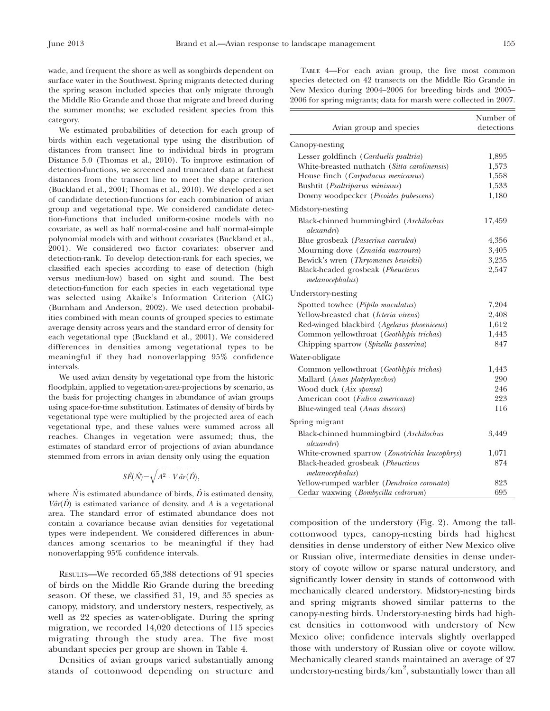wade, and frequent the shore as well as songbirds dependent on surface water in the Southwest. Spring migrants detected during the spring season included species that only migrate through the Middle Rio Grande and those that migrate and breed during the summer months; we excluded resident species from this category.

We estimated probabilities of detection for each group of birds within each vegetational type using the distribution of distances from transect line to individual birds in program Distance 5.0 (Thomas et al., 2010). To improve estimation of detection-functions, we screened and truncated data at farthest distances from the transect line to meet the shape criterion (Buckland et al., 2001; Thomas et al., 2010). We developed a set of candidate detection-functions for each combination of avian group and vegetational type. We considered candidate detection-functions that included uniform-cosine models with no covariate, as well as half normal-cosine and half normal-simple polynomial models with and without covariates (Buckland et al., 2001). We considered two factor covariates: observer and detection-rank. To develop detection-rank for each species, we classified each species according to ease of detection (high versus medium-low) based on sight and sound. The best detection-function for each species in each vegetational type was selected using Akaike's Information Criterion (AIC) (Burnham and Anderson, 2002). We used detection probabilities combined with mean counts of grouped species to estimate average density across years and the standard error of density for each vegetational type (Buckland et al., 2001). We considered differences in densities among vegetational types to be meaningful if they had nonoverlapping 95% confidence intervals.

We used avian density by vegetational type from the historic floodplain, applied to vegetation-area-projections by scenario, as the basis for projecting changes in abundance of avian groups using space-for-time substitution. Estimates of density of birds by vegetational type were multiplied by the projected area of each vegetational type, and these values were summed across all reaches. Changes in vegetation were assumed; thus, the estimates of standard error of projections of avian abundance stemmed from errors in avian density only using the equation

$$
S\hat{E}(\hat{N}) = \sqrt{A^2 \cdot V \hat{a}r(\hat{D})},
$$

where  $\hat{N}$  is estimated abundance of birds,  $\hat{D}$  is estimated density,  $V\hat{a}r(\hat{D})$  is estimated variance of density, and A is a vegetational area. The standard error of estimated abundance does not contain a covariance because avian densities for vegetational types were independent. We considered differences in abundances among scenarios to be meaningful if they had nonoverlapping 95% confidence intervals.

RESULTS—We recorded 65,388 detections of 91 species of birds on the Middle Rio Grande during the breeding season. Of these, we classified 31, 19, and 35 species as canopy, midstory, and understory nesters, respectively, as well as 22 species as water-obligate. During the spring migration, we recorded 14,020 detections of 115 species migrating through the study area. The five most abundant species per group are shown in Table 4.

Densities of avian groups varied substantially among stands of cottonwood depending on structure and

TABLE 4—For each avian group, the five most common species detected on 42 transects on the Middle Rio Grande in New Mexico during 2004–2006 for breeding birds and 2005– 2006 for spring migrants; data for marsh were collected in 2007.

| Avian group and species                              | Number of<br>detections |
|------------------------------------------------------|-------------------------|
| Canopy-nesting                                       |                         |
| Lesser goldfinch (Carduelis psaltria)                | 1,895                   |
| White-breasted nuthatch (Sitta carolinensis)         | 1,573                   |
| House finch (Carpodacus mexicanus)                   | 1,558                   |
| Bushtit (Psaltriparus minimus)                       | 1,533                   |
| Downy woodpecker (Picoides pubescens)                | 1,180                   |
| Midstory-nesting                                     |                         |
| Black-chinned hummingbird (Archilochus<br>alexandri) | 17,459                  |
| Blue grosbeak (Passerina caerulea)                   | 4,356                   |
| Mourning dove (Zenaida macroura)                     | 3,405                   |
| Bewick's wren (Thryomanes bewickii)                  | 3,235                   |
| Black-headed grosbeak (Pheucticus                    | 2,547                   |
| melanocephalus)                                      |                         |
| Understory-nesting                                   |                         |
| Spotted towhee (Pipilo maculatus)                    | 7,204                   |
| Yellow-breasted chat (Icteria virens)                | 2,408                   |
| Red-winged blackbird (Agelaius phoeniceus)           | 1,612                   |
| Common yellowthroat (Geothlypis trichas)             | 1,443                   |
| Chipping sparrow (Spizella passerina)                | 847                     |
| Water-obligate                                       |                         |
| Common yellowthroat (Geothlypis trichas)             | 1,443                   |
| Mallard (Anas platyrhynchos)                         | 290                     |
| Wood duck (Aix sponsa)                               | 246                     |
| American coot (Fulica americana)                     | 223                     |
| Blue-winged teal (Anas discors)                      | 116                     |
| Spring migrant                                       |                         |
| Black-chinned hummingbird (Archilochus<br>alexandri) | 3,449                   |
| White-crowned sparrow (Zonotrichia leucophrys)       | 1,071                   |
| Black-headed grosbeak (Pheucticus                    | 874                     |
| melanocephalus)                                      |                         |
| Yellow-rumped warbler (Dendroica coronata)           | 823                     |
| Cedar waxwing (Bombycilla cedrorum)                  | 695                     |

composition of the understory (Fig. 2). Among the tallcottonwood types, canopy-nesting birds had highest densities in dense understory of either New Mexico olive or Russian olive, intermediate densities in dense understory of coyote willow or sparse natural understory, and significantly lower density in stands of cottonwood with mechanically cleared understory. Midstory-nesting birds and spring migrants showed similar patterns to the canopy-nesting birds. Understory-nesting birds had highest densities in cottonwood with understory of New Mexico olive; confidence intervals slightly overlapped those with understory of Russian olive or coyote willow. Mechanically cleared stands maintained an average of 27 understory-nesting birds/km $^2$ , substantially lower than all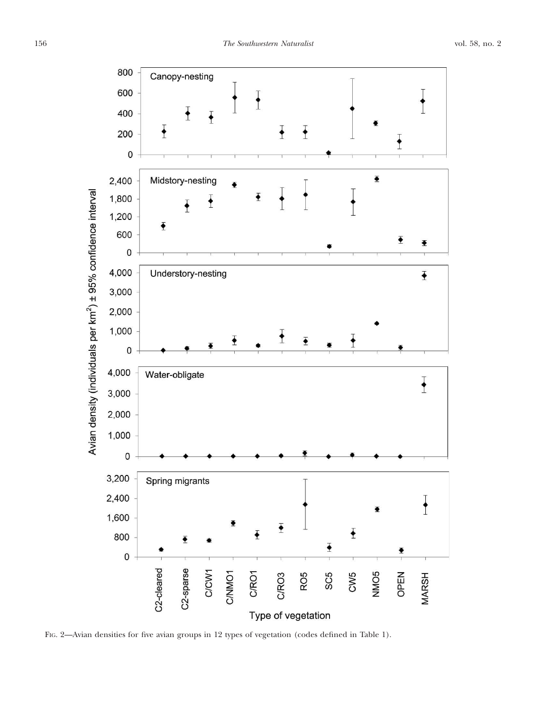

FIG. 2—Avian densities for five avian groups in 12 types of vegetation (codes defined in Table 1).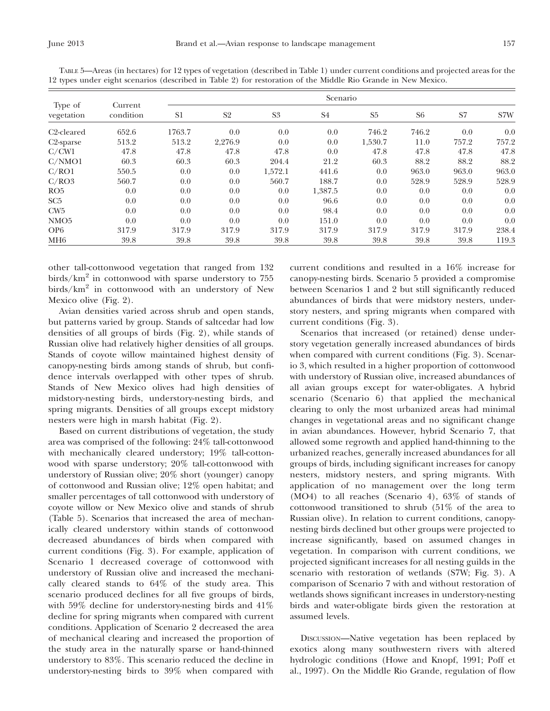| Type of<br>vegetation   | Current<br>condition | Scenario       |                |                |                |                |       |       |       |
|-------------------------|----------------------|----------------|----------------|----------------|----------------|----------------|-------|-------|-------|
|                         |                      | S <sub>1</sub> | S <sub>2</sub> | S <sub>3</sub> | S <sub>4</sub> | S <sub>5</sub> | S6    | S7    | S7W   |
| C <sub>2</sub> -cleared | 652.6                | 1763.7         | 0.0            | 0.0            | 0.0            | 746.2          | 746.2 | 0.0   | 0.0   |
| C <sub>2</sub> -sparse  | 513.2                | 513.2          | 2,276.9        | 0.0            | 0.0            | 1,530.7        | 11.0  | 757.2 | 757.2 |
| C/CW1                   | 47.8                 | 47.8           | 47.8           | 47.8           | 0.0            | 47.8           | 47.8  | 47.8  | 47.8  |
| C/NMO1                  | 60.3                 | 60.3           | 60.3           | 204.4          | 21.2           | 60.3           | 88.2  | 88.2  | 88.2  |
| C/RO1                   | 550.5                | 0.0            | 0.0            | 1,572.1        | 441.6          | 0.0            | 963.0 | 963.0 | 963.0 |
| C/RO3                   | 560.7                | 0.0            | 0.0            | 560.7          | 188.7          | 0.0            | 528.9 | 528.9 | 528.9 |
| RO5                     | 0.0                  | 0.0            | 0.0            | 0.0            | 1,387.5        | 0.0            | 0.0   | 0.0   | 0.0   |
| SC5                     | 0.0                  | 0.0            | 0.0            | 0.0            | 96.6           | 0.0            | 0.0   | 0.0   | 0.0   |
| CW <sub>5</sub>         | 0.0                  | 0.0            | 0.0            | 0.0            | 98.4           | 0.0            | 0.0   | 0.0   | 0.0   |
| NMO <sub>5</sub>        | 0.0                  | 0.0            | 0.0            | 0.0            | 151.0          | 0.0            | 0.0   | 0.0   | 0.0   |
| OP <sub>6</sub>         | 317.9                | 317.9          | 317.9          | 317.9          | 317.9          | 317.9          | 317.9 | 317.9 | 238.4 |
| MH <sub>6</sub>         | 39.8                 | 39.8           | 39.8           | 39.8           | 39.8           | 39.8           | 39.8  | 39.8  | 119.3 |

TABLE 5—Areas (in hectares) for 12 types of vegetation (described in Table 1) under current conditions and projected areas for the 12 types under eight scenarios (described in Table 2) for restoration of the Middle Rio Grande in New Mexico.

other tall-cottonwood vegetation that ranged from 132 birds/ $km<sup>2</sup>$  in cottonwood with sparse understory to 755 birds/km<sup>2</sup> in cottonwood with an understory of New Mexico olive (Fig. 2).

Avian densities varied across shrub and open stands, but patterns varied by group. Stands of saltcedar had low densities of all groups of birds (Fig. 2), while stands of Russian olive had relatively higher densities of all groups. Stands of coyote willow maintained highest density of canopy-nesting birds among stands of shrub, but confidence intervals overlapped with other types of shrub. Stands of New Mexico olives had high densities of midstory-nesting birds, understory-nesting birds, and spring migrants. Densities of all groups except midstory nesters were high in marsh habitat (Fig. 2).

Based on current distributions of vegetation, the study area was comprised of the following: 24% tall-cottonwood with mechanically cleared understory; 19% tall-cottonwood with sparse understory; 20% tall-cottonwood with understory of Russian olive; 20% short (younger) canopy of cottonwood and Russian olive; 12% open habitat; and smaller percentages of tall cottonwood with understory of coyote willow or New Mexico olive and stands of shrub (Table 5). Scenarios that increased the area of mechanically cleared understory within stands of cottonwood decreased abundances of birds when compared with current conditions (Fig. 3). For example, application of Scenario 1 decreased coverage of cottonwood with understory of Russian olive and increased the mechanically cleared stands to 64% of the study area. This scenario produced declines for all five groups of birds, with 59% decline for understory-nesting birds and 41% decline for spring migrants when compared with current conditions. Application of Scenario 2 decreased the area of mechanical clearing and increased the proportion of the study area in the naturally sparse or hand-thinned understory to 83%. This scenario reduced the decline in understory-nesting birds to 39% when compared with current conditions and resulted in a 16% increase for canopy-nesting birds. Scenario 5 provided a compromise between Scenarios 1 and 2 but still significantly reduced abundances of birds that were midstory nesters, understory nesters, and spring migrants when compared with current conditions (Fig. 3).

Scenarios that increased (or retained) dense understory vegetation generally increased abundances of birds when compared with current conditions (Fig. 3). Scenario 3, which resulted in a higher proportion of cottonwood with understory of Russian olive, increased abundances of all avian groups except for water-obligates. A hybrid scenario (Scenario 6) that applied the mechanical clearing to only the most urbanized areas had minimal changes in vegetational areas and no significant change in avian abundances. However, hybrid Scenario 7, that allowed some regrowth and applied hand-thinning to the urbanized reaches, generally increased abundances for all groups of birds, including significant increases for canopy nesters, midstory nesters, and spring migrants. With application of no management over the long term (MO4) to all reaches (Scenario 4), 63% of stands of cottonwood transitioned to shrub (51% of the area to Russian olive). In relation to current conditions, canopynesting birds declined but other groups were projected to increase significantly, based on assumed changes in vegetation. In comparison with current conditions, we projected significant increases for all nesting guilds in the scenario with restoration of wetlands (S7W; Fig. 3). A comparison of Scenario 7 with and without restoration of wetlands shows significant increases in understory-nesting birds and water-obligate birds given the restoration at assumed levels.

DISCUSSION—Native vegetation has been replaced by exotics along many southwestern rivers with altered hydrologic conditions (Howe and Knopf, 1991; Poff et al., 1997). On the Middle Rio Grande, regulation of flow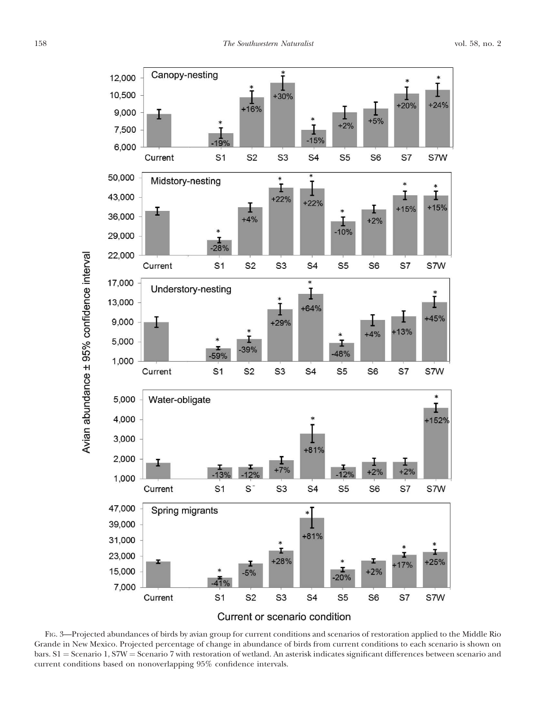

FIG. 3—Projected abundances of birds by avian group for current conditions and scenarios of restoration applied to the Middle Rio Grande in New Mexico. Projected percentage of change in abundance of birds from current conditions to each scenario is shown on bars. S1 = Scenario 1, S7W = Scenario 7 with restoration of wetland. An asterisk indicates significant differences between scenario and current conditions based on nonoverlapping 95% confidence intervals.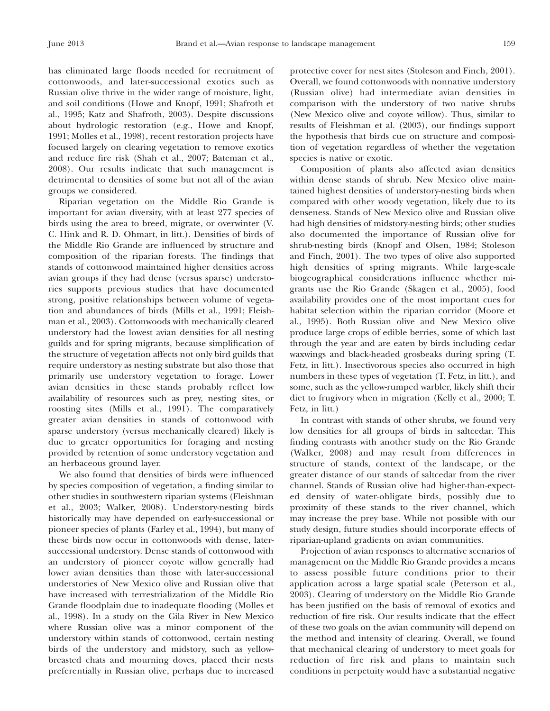has eliminated large floods needed for recruitment of cottonwoods, and later-successional exotics such as Russian olive thrive in the wider range of moisture, light, and soil conditions (Howe and Knopf, 1991; Shafroth et al., 1995; Katz and Shafroth, 2003). Despite discussions about hydrologic restoration (e.g., Howe and Knopf, 1991; Molles et al., 1998), recent restoration projects have focused largely on clearing vegetation to remove exotics and reduce fire risk (Shah et al., 2007; Bateman et al., 2008). Our results indicate that such management is detrimental to densities of some but not all of the avian groups we considered.

Riparian vegetation on the Middle Rio Grande is important for avian diversity, with at least 277 species of birds using the area to breed, migrate, or overwinter (V. C. Hink and R. D. Ohmart, in litt.). Densities of birds of the Middle Rio Grande are influenced by structure and composition of the riparian forests. The findings that stands of cottonwood maintained higher densities across avian groups if they had dense (versus sparse) understories supports previous studies that have documented strong, positive relationships between volume of vegetation and abundances of birds (Mills et al., 1991; Fleishman et al., 2003). Cottonwoods with mechanically cleared understory had the lowest avian densities for all nesting guilds and for spring migrants, because simplification of the structure of vegetation affects not only bird guilds that require understory as nesting substrate but also those that primarily use understory vegetation to forage. Lower avian densities in these stands probably reflect low availability of resources such as prey, nesting sites, or roosting sites (Mills et al., 1991). The comparatively greater avian densities in stands of cottonwood with sparse understory (versus mechanically cleared) likely is due to greater opportunities for foraging and nesting provided by retention of some understory vegetation and an herbaceous ground layer.

We also found that densities of birds were influenced by species composition of vegetation, a finding similar to other studies in southwestern riparian systems (Fleishman et al., 2003; Walker, 2008). Understory-nesting birds historically may have depended on early-successional or pioneer species of plants (Farley et al., 1994), but many of these birds now occur in cottonwoods with dense, latersuccessional understory. Dense stands of cottonwood with an understory of pioneer coyote willow generally had lower avian densities than those with later-successional understories of New Mexico olive and Russian olive that have increased with terrestrialization of the Middle Rio Grande floodplain due to inadequate flooding (Molles et al., 1998). In a study on the Gila River in New Mexico where Russian olive was a minor component of the understory within stands of cottonwood, certain nesting birds of the understory and midstory, such as yellowbreasted chats and mourning doves, placed their nests preferentially in Russian olive, perhaps due to increased protective cover for nest sites (Stoleson and Finch, 2001). Overall, we found cottonwoods with nonnative understory (Russian olive) had intermediate avian densities in comparison with the understory of two native shrubs (New Mexico olive and coyote willow). Thus, similar to results of Fleishman et al. (2003), our findings support the hypothesis that birds cue on structure and composition of vegetation regardless of whether the vegetation species is native or exotic.

Composition of plants also affected avian densities within dense stands of shrub. New Mexico olive maintained highest densities of understory-nesting birds when compared with other woody vegetation, likely due to its denseness. Stands of New Mexico olive and Russian olive had high densities of midstory-nesting birds; other studies also documented the importance of Russian olive for shrub-nesting birds (Knopf and Olsen, 1984; Stoleson and Finch, 2001). The two types of olive also supported high densities of spring migrants. While large-scale biogeographical considerations influence whether migrants use the Rio Grande (Skagen et al., 2005), food availability provides one of the most important cues for habitat selection within the riparian corridor (Moore et al., 1995). Both Russian olive and New Mexico olive produce large crops of edible berries, some of which last through the year and are eaten by birds including cedar waxwings and black-headed grosbeaks during spring (T. Fetz, in litt.). Insectivorous species also occurred in high numbers in these types of vegetation (T. Fetz, in litt.), and some, such as the yellow-rumped warbler, likely shift their diet to frugivory when in migration (Kelly et al., 2000; T. Fetz, in litt.)

In contrast with stands of other shrubs, we found very low densities for all groups of birds in saltcedar. This finding contrasts with another study on the Rio Grande (Walker, 2008) and may result from differences in structure of stands, context of the landscape, or the greater distance of our stands of saltcedar from the river channel. Stands of Russian olive had higher-than-expected density of water-obligate birds, possibly due to proximity of these stands to the river channel, which may increase the prey base. While not possible with our study design, future studies should incorporate effects of riparian-upland gradients on avian communities.

Projection of avian responses to alternative scenarios of management on the Middle Rio Grande provides a means to assess possible future conditions prior to their application across a large spatial scale (Peterson et al., 2003). Clearing of understory on the Middle Rio Grande has been justified on the basis of removal of exotics and reduction of fire risk. Our results indicate that the effect of these two goals on the avian community will depend on the method and intensity of clearing. Overall, we found that mechanical clearing of understory to meet goals for reduction of fire risk and plans to maintain such conditions in perpetuity would have a substantial negative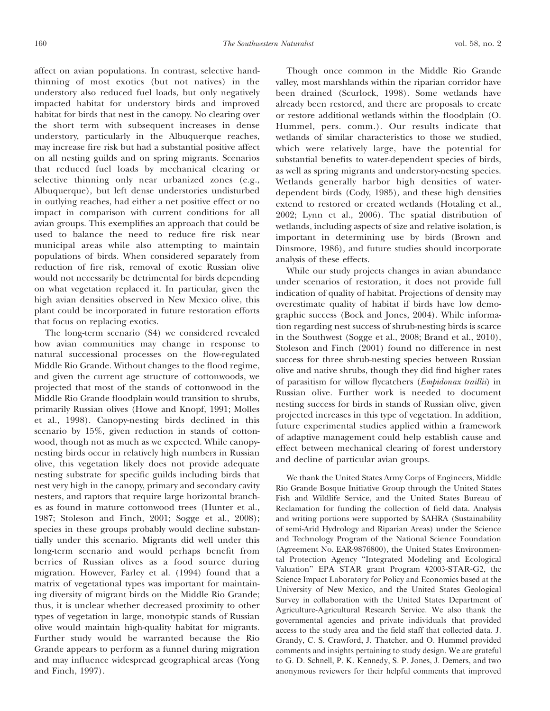affect on avian populations. In contrast, selective handthinning of most exotics (but not natives) in the understory also reduced fuel loads, but only negatively impacted habitat for understory birds and improved habitat for birds that nest in the canopy. No clearing over the short term with subsequent increases in dense understory, particularly in the Albuquerque reaches, may increase fire risk but had a substantial positive affect on all nesting guilds and on spring migrants. Scenarios that reduced fuel loads by mechanical clearing or selective thinning only near urbanized zones (e.g., Albuquerque), but left dense understories undisturbed in outlying reaches, had either a net positive effect or no impact in comparison with current conditions for all avian groups. This exemplifies an approach that could be used to balance the need to reduce fire risk near municipal areas while also attempting to maintain populations of birds. When considered separately from reduction of fire risk, removal of exotic Russian olive would not necessarily be detrimental for birds depending on what vegetation replaced it. In particular, given the high avian densities observed in New Mexico olive, this plant could be incorporated in future restoration efforts that focus on replacing exotics.

The long-term scenario (S4) we considered revealed how avian communities may change in response to natural successional processes on the flow-regulated Middle Rio Grande. Without changes to the flood regime, and given the current age structure of cottonwoods, we projected that most of the stands of cottonwood in the Middle Rio Grande floodplain would transition to shrubs, primarily Russian olives (Howe and Knopf, 1991; Molles et al., 1998). Canopy-nesting birds declined in this scenario by 15%, given reduction in stands of cottonwood, though not as much as we expected. While canopynesting birds occur in relatively high numbers in Russian olive, this vegetation likely does not provide adequate nesting substrate for specific guilds including birds that nest very high in the canopy, primary and secondary cavity nesters, and raptors that require large horizontal branches as found in mature cottonwood trees (Hunter et al., 1987; Stoleson and Finch, 2001; Sogge et al., 2008); species in these groups probably would decline substantially under this scenario. Migrants did well under this long-term scenario and would perhaps benefit from berries of Russian olives as a food source during migration. However, Farley et al. (1994) found that a matrix of vegetational types was important for maintaining diversity of migrant birds on the Middle Rio Grande; thus, it is unclear whether decreased proximity to other types of vegetation in large, monotypic stands of Russian olive would maintain high-quality habitat for migrants. Further study would be warranted because the Rio Grande appears to perform as a funnel during migration and may influence widespread geographical areas (Yong and Finch, 1997).

Though once common in the Middle Rio Grande valley, most marshlands within the riparian corridor have been drained (Scurlock, 1998). Some wetlands have already been restored, and there are proposals to create or restore additional wetlands within the floodplain (O. Hummel, pers. comm.). Our results indicate that wetlands of similar characteristics to those we studied, which were relatively large, have the potential for substantial benefits to water-dependent species of birds, as well as spring migrants and understory-nesting species. Wetlands generally harbor high densities of waterdependent birds (Cody, 1985), and these high densities extend to restored or created wetlands (Hotaling et al., 2002; Lynn et al., 2006). The spatial distribution of wetlands, including aspects of size and relative isolation, is important in determining use by birds (Brown and Dinsmore, 1986), and future studies should incorporate analysis of these effects.

While our study projects changes in avian abundance under scenarios of restoration, it does not provide full indication of quality of habitat. Projections of density may overestimate quality of habitat if birds have low demographic success (Bock and Jones, 2004). While information regarding nest success of shrub-nesting birds is scarce in the Southwest (Sogge et al., 2008; Brand et al., 2010), Stoleson and Finch (2001) found no difference in nest success for three shrub-nesting species between Russian olive and native shrubs, though they did find higher rates of parasitism for willow flycatchers (Empidonax traillii) in Russian olive. Further work is needed to document nesting success for birds in stands of Russian olive, given projected increases in this type of vegetation. In addition, future experimental studies applied within a framework of adaptive management could help establish cause and effect between mechanical clearing of forest understory and decline of particular avian groups.

We thank the United States Army Corps of Engineers, Middle Rio Grande Bosque Initiative Group through the United States Fish and Wildlife Service, and the United States Bureau of Reclamation for funding the collection of field data. Analysis and writing portions were supported by SAHRA (Sustainability of semi-Arid Hydrology and Riparian Areas) under the Science and Technology Program of the National Science Foundation (Agreement No. EAR-9876800), the United States Environmental Protection Agency ''Integrated Modeling and Ecological Valuation'' EPA STAR grant Program #2003-STAR-G2, the Science Impact Laboratory for Policy and Economics based at the University of New Mexico, and the United States Geological Survey in collaboration with the United States Department of Agriculture-Agricultural Research Service. We also thank the governmental agencies and private individuals that provided access to the study area and the field staff that collected data. J. Grandy, C. S. Crawford, J. Thatcher, and O. Hummel provided comments and insights pertaining to study design. We are grateful to G. D. Schnell, P. K. Kennedy, S. P. Jones, J. Demers, and two anonymous reviewers for their helpful comments that improved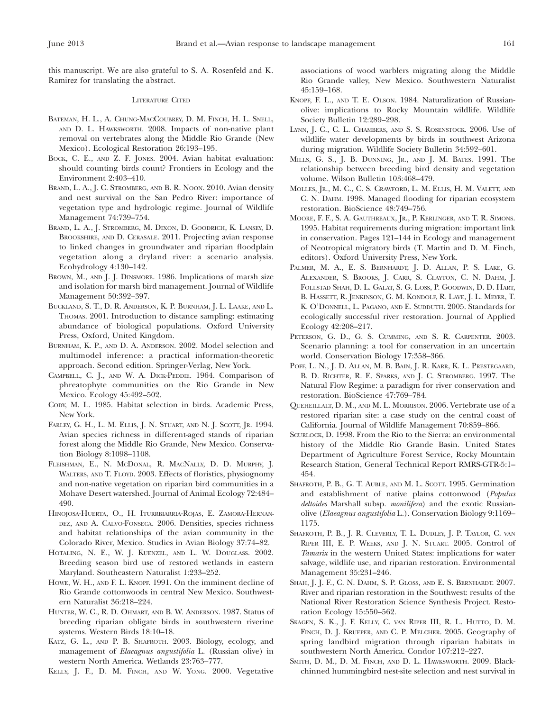this manuscript. We are also grateful to S. A. Rosenfeld and K. Ramirez for translating the abstract.

## LITERATURE CITED

- BATEMAN, H. L., A. CHUNG-MACCOUBREY, D. M. FINCH, H. L. SNELL, AND D. L. HAWKSWORTH. 2008. Impacts of non-native plant removal on vertebrates along the Middle Rio Grande (New Mexico). Ecological Restoration 26:193–195.
- BOCK, C. E., AND Z. F. JONES. 2004. Avian habitat evaluation: should counting birds count? Frontiers in Ecology and the Environment 2:403–410.
- BRAND, L. A., J. C. STROMBERG, AND B. R. NOON. 2010. Avian density and nest survival on the San Pedro River: importance of vegetation type and hydrologic regime. Journal of Wildlife Management 74:739–754.
- BRAND, L. A., J. STROMBERG, M. DIXON, D. GOODRICH, K. LANSEY, D. BROOKSHIRE, AND D. CERASALE. 2011. Projecting avian response to linked changes in groundwater and riparian floodplain vegetation along a dryland river: a scenario analysis. Ecohydrology 4:130–142.
- BROWN, M., AND J. J. DINSMORE. 1986. Implications of marsh size and isolation for marsh bird management. Journal of Wildlife Management 50:392–397.
- BUCKLAND, S. T., D. R. ANDERSON, K. P. BURNHAM, J. L. LAAKE, AND L. THOMAS. 2001. Introduction to distance sampling: estimating abundance of biological populations. Oxford University Press, Oxford, United Kingdom.
- BURNHAM, K. P., AND D. A. ANDERSON. 2002. Model selection and multimodel inference: a practical information-theoretic approach. Second edition. Springer-Verlag, New York.
- CAMPBELL, C. J., AND W. A. DICK-PEDDIE. 1964. Comparison of phreatophyte communities on the Rio Grande in New Mexico. Ecology 45:492–502.
- CODY, M. L. 1985. Habitat selection in birds. Academic Press, New York.
- FARLEY, G. H., L. M. ELLIS, J. N. STUART, AND N. J. SCOTT, JR. 1994. Avian species richness in different-aged stands of riparian forest along the Middle Rio Grande, New Mexico. Conservation Biology 8:1098–1108.
- FLEISHMAN, E., N. MCDONAL, R. MACNALLY, D. D. MURPHY, J. WALTERS, AND T. FLOYD. 2003. Effects of floristics, physiognomy and non-native vegetation on riparian bird communities in a Mohave Desert watershed. Journal of Animal Ecology 72:484– 490.
- HINOJOSA-HUERTA, O., H. ITURRBIARRIA-ROJAS, E. ZAMORA-HERNAN-DEZ, AND A. CALVO-FONSECA. 2006. Densities, species richness and habitat relationships of the avian community in the Colorado River, Mexico. Studies in Avian Biology 37:74–82.
- HOTALING, N. E., W. J. KUENZEL, AND L. W. DOUGLASS. 2002. Breeding season bird use of restored wetlands in eastern Maryland. Southeastern Naturalist 1:233–252.
- HOWE, W. H., AND F. L. KNOPF. 1991. On the imminent decline of Rio Grande cottonwoods in central New Mexico. Southwestern Naturalist 36:218–224.
- HUNTER, W. C., R. D. OHMART, AND B. W. ANDERSON. 1987. Status of breeding riparian obligate birds in southwestern riverine systems. Western Birds 18:10–18.
- KATZ, G. L., AND P. B. SHAFROTH. 2003. Biology, ecology, and management of Elaeagnus angustifolia L. (Russian olive) in western North America. Wetlands 23:763–777.
- KELLY, J. F., D. M. FINCH, AND W. YONG. 2000. Vegetative

associations of wood warblers migrating along the Middle Rio Grande valley, New Mexico. Southwestern Naturalist 45:159–168.

- KNOPF, F. L., AND T. E. OLSON. 1984. Naturalization of Russianolive: implications to Rocky Mountain wildlife. Wildlife Society Bulletin 12:289–298.
- LYNN, J. C., C. L. CHAMBERS, AND S. S. ROSENSTOCK. 2006. Use of wildlife water developments by birds in southwest Arizona during migration. Wildlife Society Bulletin 34:592–601.
- MILLS, G. S., J. B. DUNNING, JR., AND J. M. BATES. 1991. The relationship between breeding bird density and vegetation volume. Wilson Bulletin 103:468–479.
- MOLLES, JR., M. C., C. S. CRAWFORD, L. M. ELLIS, H. M. VALETT, AND C. N. DAHM. 1998. Managed flooding for riparian ecosystem restoration. BioScience 48:749–756.
- MOORE, F. F., S. A. GAUTHREAUX, JR., P. KERLINGER, AND T. R. SIMONS. 1995. Habitat requirements during migration: important link in conservation. Pages 121–144 in Ecology and management of Neotropical migratory birds (T. Martin and D. M. Finch, editors). Oxford University Press, New York.
- PALMER, M. A., E. S. BERNHARDT, J. D. ALLAN, P. S. LAKE, G. ALEXANDER, S. BROOKS, J. CARR, S. CLAYTON, C. N. DAHM, J. FOLLSTAD SHAH, D. L. GALAT, S. G. LOSS, P. GOODWIN, D. D. HART, B. HASSETT, R. JENKINSON, G. M. KONDOLF, R. LAVE, J. L. MEYER, T. K. O'DONNELL, L. PAGANO, AND E. SUDDUTH. 2005. Standards for ecologically successful river restoration. Journal of Applied Ecology 42:208–217.
- PETERSON, G. D., G. S. CUMMING, AND S. R. CARPENTER. 2003. Scenario planning: a tool for conservation in an uncertain world. Conservation Biology 17:358–366.
- POFF, L. N., J. D. ALLAN, M. B. BAIN, J. R. KARR, K. L. PRESTEGAARD, B. D. RICHTER, R. E. SPARKS, AND J. C. STROMBERG. 1997. The Natural Flow Regime: a paradigm for river conservation and restoration. BioScience 47:769–784.
- QUEHEILLALT, D. M., AND M. L. MORRISON. 2006. Vertebrate use of a restored riparian site: a case study on the central coast of California. Journal of Wildlife Management 70:859–866.
- SCURLOCK, D. 1998. From the Rio to the Sierra: an environmental history of the Middle Rio Grande Basin. United States Department of Agriculture Forest Service, Rocky Mountain Research Station, General Technical Report RMRS-GTR-5:1– 454.
- SHAFROTH, P. B., G. T. AUBLE, AND M. L. SCOTT. 1995. Germination and establishment of native plains cottonwood (Populus deltoides Marshall subsp. monilifera) and the exotic Russianolive (Elaeagnus angustifolia L.). Conservation Biology 9:1169– 1175.
- SHAFROTH, P. B., J. R. CLEVERLY, T. L. DUDLEY, J. P. TAYLOR, C. VAN RIPER III, E. P. WEEKS, AND J. N. STUART. 2005. Control of Tamarix in the western United States: implications for water salvage, wildlife use, and riparian restoration. Environmental Management 35:231–246.
- SHAH, J. J. F., C. N. DAHM, S. P. GLOSS, AND E. S. BERNHARDT. 2007. River and riparian restoration in the Southwest: results of the National River Restoration Science Synthesis Project. Restoration Ecology 15:550–562.
- SKAGEN, S. K., J. F. KELLY, C. VAN RIPER III, R. L. HUTTO, D. M. FINCH, D. J. KRUEPER, AND C. P. MELCHER. 2005. Geography of spring landbird migration through riparian habitats in southwestern North America. Condor 107:212–227.
- SMITH, D. M., D. M. FINCH, AND D. L. HAWKSWORTH. 2009. Blackchinned hummingbird nest-site selection and nest survival in